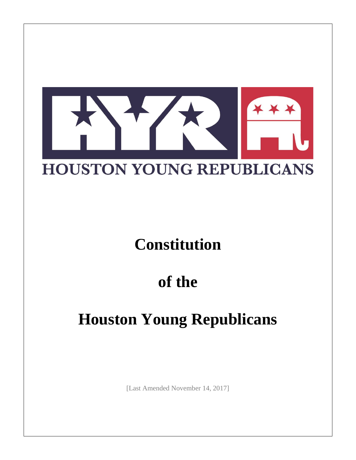

## **Constitution**

## **of the**

# **Houston Young Republicans**

[Last Amended November 14, 2017]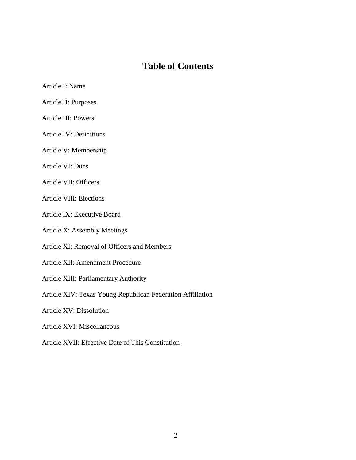## **Table of Contents**

- Article I: Name
- Article II: Purposes
- Article III: Powers
- Article IV: Definitions
- Article V: Membership
- Article VI: Dues
- Article VII: Officers
- Article VIII: Elections
- Article IX: Executive Board
- Article X: Assembly Meetings
- Article XI: Removal of Officers and Members
- Article XII: Amendment Procedure
- Article XIII: Parliamentary Authority
- Article XIV: Texas Young Republican Federation Affiliation
- Article XV: Dissolution
- Article XVI: Miscellaneous
- Article XVII: Effective Date of This Constitution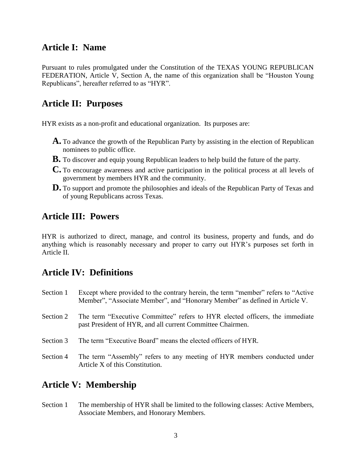## **Article I: Name**

Pursuant to rules promulgated under the Constitution of the TEXAS YOUNG REPUBLICAN FEDERATION, Article V, Section A, the name of this organization shall be "Houston Young Republicans", hereafter referred to as "HYR".

### **Article II: Purposes**

HYR exists as a non-profit and educational organization. Its purposes are:

- **A.** To advance the growth of the Republican Party by assisting in the election of Republican nominees to public office.
- **B.** To discover and equip young Republican leaders to help build the future of the party.
- **C.** To encourage awareness and active participation in the political process at all levels of government by members HYR and the community.
- **D.** To support and promote the philosophies and ideals of the Republican Party of Texas and of young Republicans across Texas.

#### **Article III: Powers**

HYR is authorized to direct, manage, and control its business, property and funds, and do anything which is reasonably necessary and proper to carry out HYR's purposes set forth in Article II.

### **Article IV: Definitions**

- Section 1 Except where provided to the contrary herein, the term "member" refers to "Active Member", "Associate Member", and "Honorary Member" as defined in Article V.
- Section 2 The term "Executive Committee" refers to HYR elected officers, the immediate past President of HYR, and all current Committee Chairmen.
- Section 3 The term "Executive Board" means the elected officers of HYR.
- Section 4 The term "Assembly" refers to any meeting of HYR members conducted under Article X of this Constitution.

### **Article V: Membership**

Section 1 The membership of HYR shall be limited to the following classes: Active Members, Associate Members, and Honorary Members.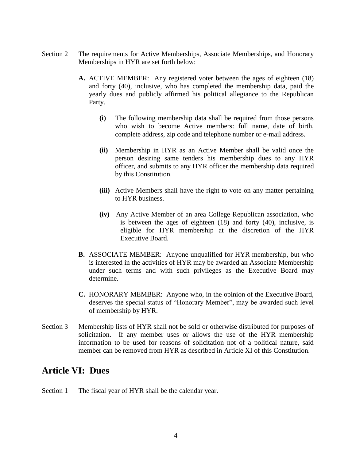- Section 2 The requirements for Active Memberships, Associate Memberships, and Honorary Memberships in HYR are set forth below:
	- **A.** ACTIVE MEMBER: Any registered voter between the ages of eighteen (18) and forty (40), inclusive, who has completed the membership data, paid the yearly dues and publicly affirmed his political allegiance to the Republican Party.
		- **(i)** The following membership data shall be required from those persons who wish to become Active members: full name, date of birth, complete address, zip code and telephone number or e-mail address.
		- **(ii)** Membership in HYR as an Active Member shall be valid once the person desiring same tenders his membership dues to any HYR officer, and submits to any HYR officer the membership data required by this Constitution.
		- **(iii)** Active Members shall have the right to vote on any matter pertaining to HYR business.
		- **(iv)** Any Active Member of an area College Republican association, who is between the ages of eighteen (18) and forty (40), inclusive, is eligible for HYR membership at the discretion of the HYR Executive Board.
	- **B.** ASSOCIATE MEMBER: Anyone unqualified for HYR membership, but who is interested in the activities of HYR may be awarded an Associate Membership under such terms and with such privileges as the Executive Board may determine.
	- **C.** HONORARY MEMBER: Anyone who, in the opinion of the Executive Board, deserves the special status of "Honorary Member", may be awarded such level of membership by HYR.
- Section 3 Membership lists of HYR shall not be sold or otherwise distributed for purposes of solicitation. If any member uses or allows the use of the HYR membership information to be used for reasons of solicitation not of a political nature, said member can be removed from HYR as described in Article XI of this Constitution.

#### **Article VI: Dues**

Section 1 The fiscal year of HYR shall be the calendar year.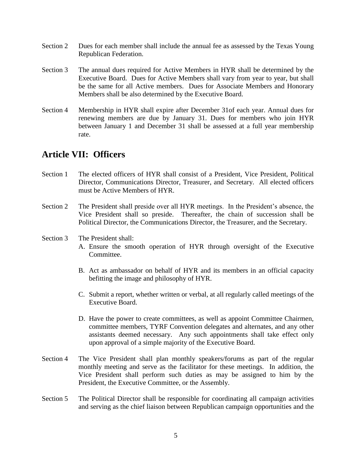- Section 2 Dues for each member shall include the annual fee as assessed by the Texas Young Republican Federation.
- Section 3 The annual dues required for Active Members in HYR shall be determined by the Executive Board. Dues for Active Members shall vary from year to year, but shall be the same for all Active members. Dues for Associate Members and Honorary Members shall be also determined by the Executive Board.
- Section 4 Membership in HYR shall expire after December 31of each year. Annual dues for renewing members are due by January 31. Dues for members who join HYR between January 1 and December 31 shall be assessed at a full year membership rate.

### **Article VII: Officers**

- Section 1 The elected officers of HYR shall consist of a President, Vice President, Political Director, Communications Director, Treasurer, and Secretary. All elected officers must be Active Members of HYR.
- Section 2 The President shall preside over all HYR meetings. In the President's absence, the Vice President shall so preside. Thereafter, the chain of succession shall be Political Director, the Communications Director, the Treasurer, and the Secretary.
- Section 3 The President shall: A. Ensure the smooth operation of HYR through oversight of the Executive Committee.
	- B. Act as ambassador on behalf of HYR and its members in an official capacity befitting the image and philosophy of HYR.
	- C. Submit a report, whether written or verbal, at all regularly called meetings of the Executive Board.
	- D. Have the power to create committees, as well as appoint Committee Chairmen, committee members, TYRF Convention delegates and alternates, and any other assistants deemed necessary. Any such appointments shall take effect only upon approval of a simple majority of the Executive Board.
- Section 4 The Vice President shall plan monthly speakers/forums as part of the regular monthly meeting and serve as the facilitator for these meetings. In addition, the Vice President shall perform such duties as may be assigned to him by the President, the Executive Committee, or the Assembly.
- Section 5 The Political Director shall be responsible for coordinating all campaign activities and serving as the chief liaison between Republican campaign opportunities and the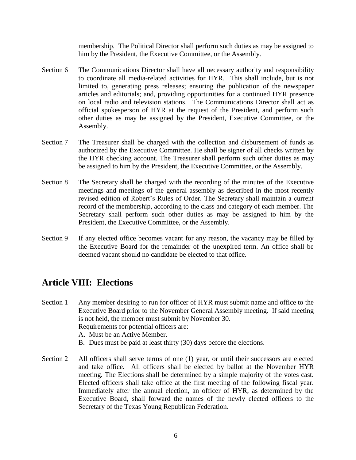membership. The Political Director shall perform such duties as may be assigned to him by the President, the Executive Committee, or the Assembly.

- Section 6 The Communications Director shall have all necessary authority and responsibility to coordinate all media-related activities for HYR. This shall include, but is not limited to, generating press releases; ensuring the publication of the newspaper articles and editorials; and, providing opportunities for a continued HYR presence on local radio and television stations. The Communications Director shall act as official spokesperson of HYR at the request of the President, and perform such other duties as may be assigned by the President, Executive Committee, or the Assembly.
- Section 7 The Treasurer shall be charged with the collection and disbursement of funds as authorized by the Executive Committee. He shall be signer of all checks written by the HYR checking account. The Treasurer shall perform such other duties as may be assigned to him by the President, the Executive Committee, or the Assembly.
- Section 8 The Secretary shall be charged with the recording of the minutes of the Executive meetings and meetings of the general assembly as described in the most recently revised edition of Robert's Rules of Order. The Secretary shall maintain a current record of the membership, according to the class and category of each member. The Secretary shall perform such other duties as may be assigned to him by the President, the Executive Committee, or the Assembly.
- Section 9 If any elected office becomes vacant for any reason, the vacancy may be filled by the Executive Board for the remainder of the unexpired term. An office shall be deemed vacant should no candidate be elected to that office.

## **Article VIII: Elections**

- Section 1 Any member desiring to run for officer of HYR must submit name and office to the Executive Board prior to the November General Assembly meeting. If said meeting is not held, the member must submit by November 30. Requirements for potential officers are: A. Must be an Active Member.
	- B. Dues must be paid at least thirty (30) days before the elections.
- Section 2 All officers shall serve terms of one (1) year, or until their successors are elected and take office. All officers shall be elected by ballot at the November HYR meeting. The Elections shall be determined by a simple majority of the votes cast. Elected officers shall take office at the first meeting of the following fiscal year. Immediately after the annual election, an officer of HYR, as determined by the Executive Board, shall forward the names of the newly elected officers to the Secretary of the Texas Young Republican Federation.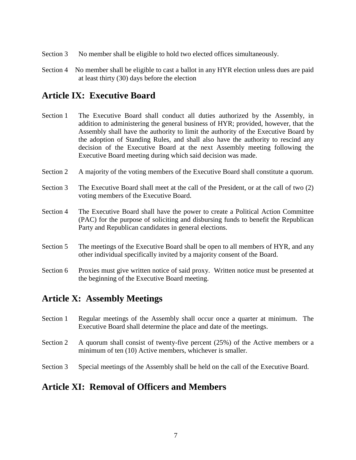- Section 3 No member shall be eligible to hold two elected offices simultaneously.
- Section 4 No member shall be eligible to cast a ballot in any HYR election unless dues are paid at least thirty (30) days before the election

## **Article IX: Executive Board**

- Section 1 The Executive Board shall conduct all duties authorized by the Assembly, in addition to administering the general business of HYR; provided, however, that the Assembly shall have the authority to limit the authority of the Executive Board by the adoption of Standing Rules, and shall also have the authority to rescind any decision of the Executive Board at the next Assembly meeting following the Executive Board meeting during which said decision was made.
- Section 2 A majority of the voting members of the Executive Board shall constitute a quorum.
- Section 3 The Executive Board shall meet at the call of the President, or at the call of two (2) voting members of the Executive Board.
- Section 4 The Executive Board shall have the power to create a Political Action Committee (PAC) for the purpose of soliciting and disbursing funds to benefit the Republican Party and Republican candidates in general elections.
- Section 5 The meetings of the Executive Board shall be open to all members of HYR, and any other individual specifically invited by a majority consent of the Board.
- Section 6 Proxies must give written notice of said proxy. Written notice must be presented at the beginning of the Executive Board meeting.

### **Article X: Assembly Meetings**

- Section 1 Regular meetings of the Assembly shall occur once a quarter at minimum. The Executive Board shall determine the place and date of the meetings.
- Section 2 A quorum shall consist of twenty-five percent (25%) of the Active members or a minimum of ten (10) Active members, whichever is smaller.
- Section 3 Special meetings of the Assembly shall be held on the call of the Executive Board.

### **Article XI: Removal of Officers and Members**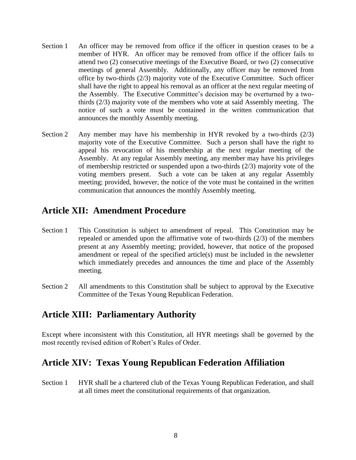- Section 1 An officer may be removed from office if the officer in question ceases to be a member of HYR. An officer may be removed from office if the officer fails to attend two (2) consecutive meetings of the Executive Board, or two (2) consecutive meetings of general Assembly. Additionally, any officer may be removed from office by two-thirds (2/3) majority vote of the Executive Committee. Such officer shall have the right to appeal his removal as an officer at the next regular meeting of the Assembly. The Executive Committee's decision may be overturned by a twothirds (2/3) majority vote of the members who vote at said Assembly meeting. The notice of such a vote must be contained in the written communication that announces the monthly Assembly meeting.
- Section 2 Any member may have his membership in HYR revoked by a two-thirds (2/3) majority vote of the Executive Committee. Such a person shall have the right to appeal his revocation of his membership at the next regular meeting of the Assembly. At any regular Assembly meeting, any member may have his privileges of membership restricted or suspended upon a two-thirds (2/3) majority vote of the voting members present. Such a vote can be taken at any regular Assembly meeting; provided, however, the notice of the vote must be contained in the written communication that announces the monthly Assembly meeting.

## **Article XII: Amendment Procedure**

- Section 1 This Constitution is subject to amendment of repeal. This Constitution may be repealed or amended upon the affirmative vote of two-thirds (2/3) of the members present at any Assembly meeting; provided, however, that notice of the proposed amendment or repeal of the specified article(s) must be included in the newsletter which immediately precedes and announces the time and place of the Assembly meeting.
- Section 2 All amendments to this Constitution shall be subject to approval by the Executive Committee of the Texas Young Republican Federation.

### **Article XIII: Parliamentary Authority**

Except where inconsistent with this Constitution, all HYR meetings shall be governed by the most recently revised edition of Robert's Rules of Order.

## **Article XIV: Texas Young Republican Federation Affiliation**

Section 1 HYR shall be a chartered club of the Texas Young Republican Federation, and shall at all times meet the constitutional requirements of that organization.